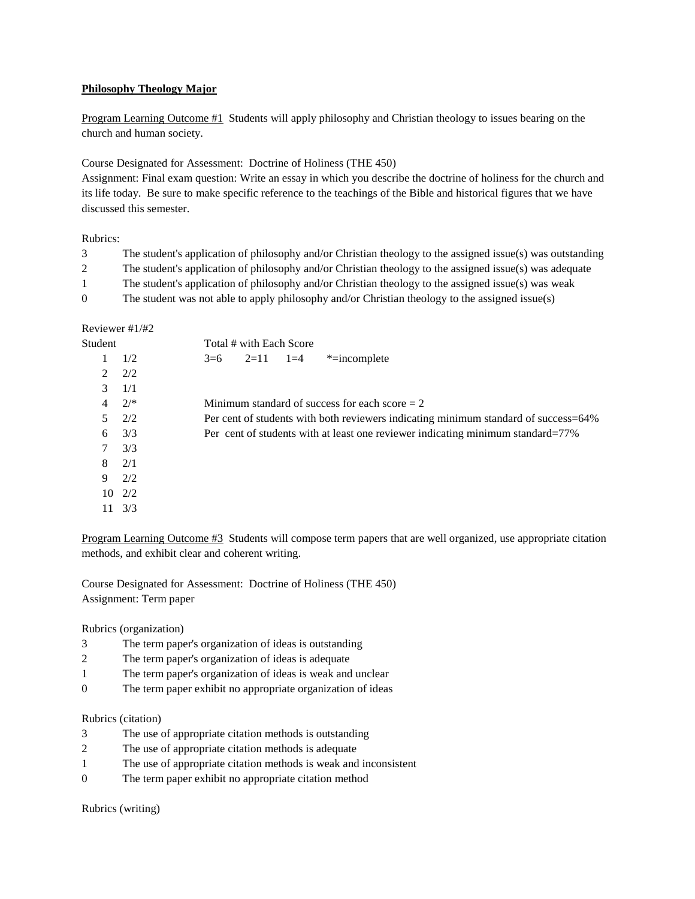## **Philosophy Theology Major**

Program Learning Outcome #1 Students will apply philosophy and Christian theology to issues bearing on the church and human society.

## Course Designated for Assessment: Doctrine of Holiness (THE 450)

Assignment: Final exam question: Write an essay in which you describe the doctrine of holiness for the church and its life today. Be sure to make specific reference to the teachings of the Bible and historical figures that we have discussed this semester.

# Rubrics:

| 3        | The student's application of philosophy and/or Christian theology to the assigned issue(s) was outstanding |
|----------|------------------------------------------------------------------------------------------------------------|
|          | The student's application of philosophy and/or Christian theology to the assigned issue(s) was adequate    |
|          | The student's application of philosophy and/or Christian theology to the assigned issue(s) was weak        |
| $\Omega$ | The student was not able to apply philosophy and/or Christian theology to the assigned issue(s)            |

## Reviewer #1/#2

| Student       |         | Total # with Each Score                                                             |  |  |  |
|---------------|---------|-------------------------------------------------------------------------------------|--|--|--|
|               | 1/2     | *=incomplete<br>$2=11$ $1=4$<br>$3=6$                                               |  |  |  |
| $\mathcal{L}$ | 2/2     |                                                                                     |  |  |  |
| 3             | 1/1     |                                                                                     |  |  |  |
| 4             | $2^{*}$ | Minimum standard of success for each score $= 2$                                    |  |  |  |
| 5.            | 2/2     | Per cent of students with both reviewers indicating minimum standard of success=64% |  |  |  |
| 6             | 3/3     | Per cent of students with at least one reviewer indicating minimum standard=77%     |  |  |  |
| 7             | 3/3     |                                                                                     |  |  |  |
| 8             | 2/1     |                                                                                     |  |  |  |
| 9             | 2/2     |                                                                                     |  |  |  |
| 10            | 2/2     |                                                                                     |  |  |  |
|               | 3/3     |                                                                                     |  |  |  |
|               |         |                                                                                     |  |  |  |

Program Learning Outcome #3 Students will compose term papers that are well organized, use appropriate citation methods, and exhibit clear and coherent writing.

Course Designated for Assessment: Doctrine of Holiness (THE 450) Assignment: Term paper

Rubrics (organization)

- 3 The term paper's organization of ideas is outstanding
- 2 The term paper's organization of ideas is adequate
- 1 The term paper's organization of ideas is weak and unclear
- 0 The term paper exhibit no appropriate organization of ideas

#### Rubrics (citation)

- 3 The use of appropriate citation methods is outstanding
- 2 The use of appropriate citation methods is adequate
- 1 The use of appropriate citation methods is weak and inconsistent
- 0 The term paper exhibit no appropriate citation method

Rubrics (writing)